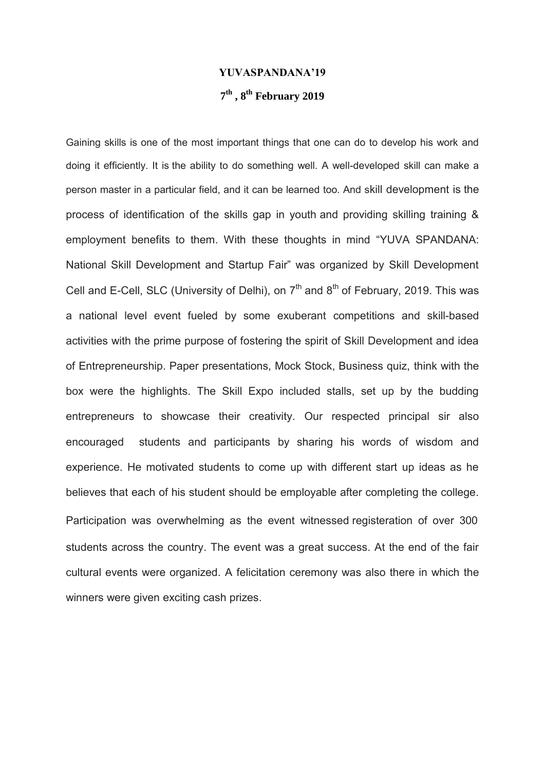## **YUVASPANDANA'19**

## **7 th , 8th February 2019**

Gaining skills is one of the most important things that one can do to develop his work and doing it efficiently. It is the ability to do something well. A well-developed skill can make a person master in a particular field, and it can be learned too. And skill development is the process of identification of the skills gap in youth and providing skilling training & employment benefits to them. With these thoughts in mind "YUVA SPANDANA: National Skill Development and Startup Fair" was organized by Skill Development Cell and E-Cell, SLC (University of Delhi), on  $7<sup>th</sup>$  and  $8<sup>th</sup>$  of February, 2019. This was a national level event fueled by some exuberant competitions and skill-based activities with the prime purpose of fostering the spirit of Skill Development and idea of Entrepreneurship. Paper presentations, Mock Stock, Business quiz, think with the box were the highlights. The Skill Expo included stalls, set up by the budding entrepreneurs to showcase their creativity. Our respected principal sir also encouraged students and participants by sharing his words of wisdom and experience. He motivated students to come up with different start up ideas as he believes that each of his student should be employable after completing the college. Participation was overwhelming as the event witnessed registeration of over 300 students across the country. The event was a great success. At the end of the fair cultural events were organized. A felicitation ceremony was also there in which the winners were given exciting cash prizes.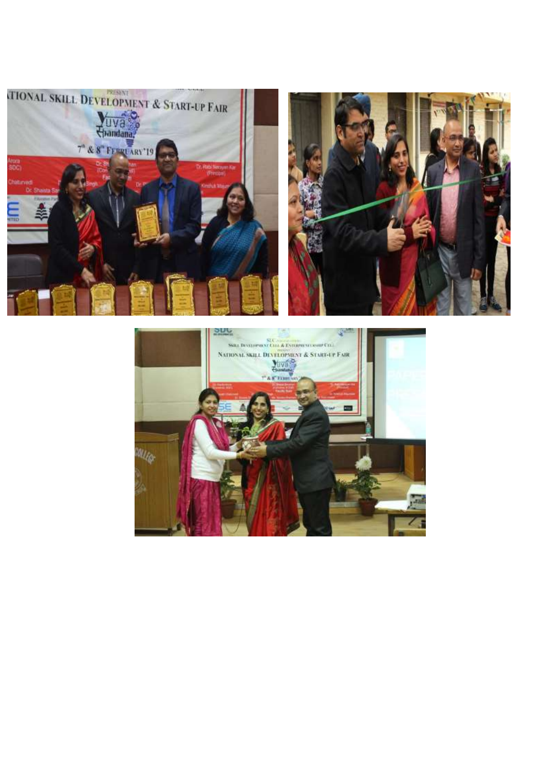